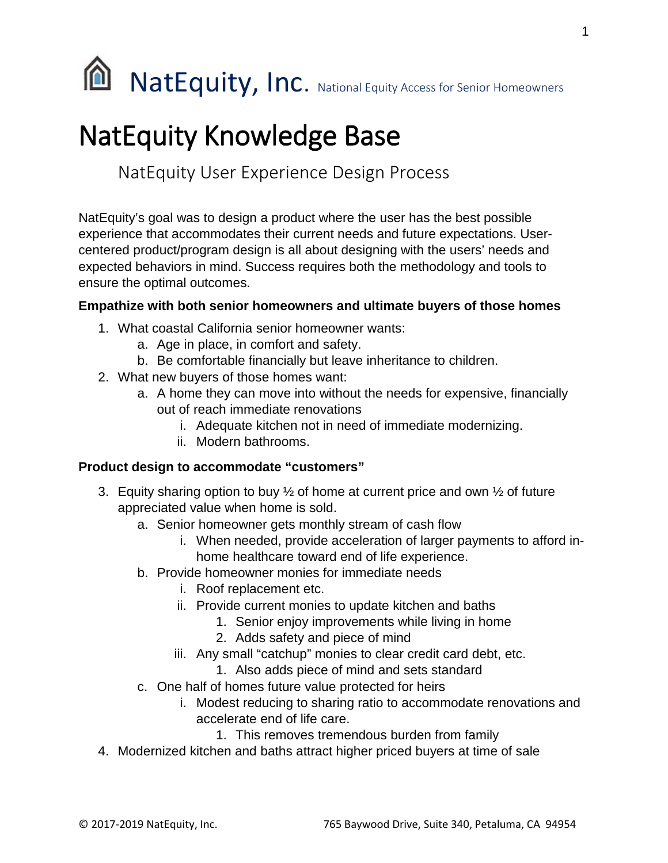

# NatEquity Knowledge Base

NatEquity User Experience Design Process

NatEquity's goal was to design a product where the user has the best possible experience that accommodates their current needs and future expectations. Usercentered product/program design is all about designing with the users' needs and expected behaviors in mind. Success requires both the methodology and tools to ensure the optimal outcomes.

#### **Empathize with both senior homeowners and ultimate buyers of those homes**

- 1. What coastal California senior homeowner wants:
	- a. Age in place, in comfort and safety.
	- b. Be comfortable financially but leave inheritance to children.
- 2. What new buyers of those homes want:
	- a. A home they can move into without the needs for expensive, financially out of reach immediate renovations
		- i. Adequate kitchen not in need of immediate modernizing.
		- ii. Modern bathrooms.

### **Product design to accommodate "customers"**

- 3. Equity sharing option to buy  $\frac{1}{2}$  of home at current price and own  $\frac{1}{2}$  of future appreciated value when home is sold.
	- a. Senior homeowner gets monthly stream of cash flow
		- i. When needed, provide acceleration of larger payments to afford inhome healthcare toward end of life experience.
	- b. Provide homeowner monies for immediate needs
		- i. Roof replacement etc.
		- ii. Provide current monies to update kitchen and baths
			- 1. Senior enjoy improvements while living in home
			- 2. Adds safety and piece of mind
		- iii. Any small "catchup" monies to clear credit card debt, etc.
			- 1. Also adds piece of mind and sets standard
	- c. One half of homes future value protected for heirs
		- i. Modest reducing to sharing ratio to accommodate renovations and accelerate end of life care.
			- 1. This removes tremendous burden from family
- 4. Modernized kitchen and baths attract higher priced buyers at time of sale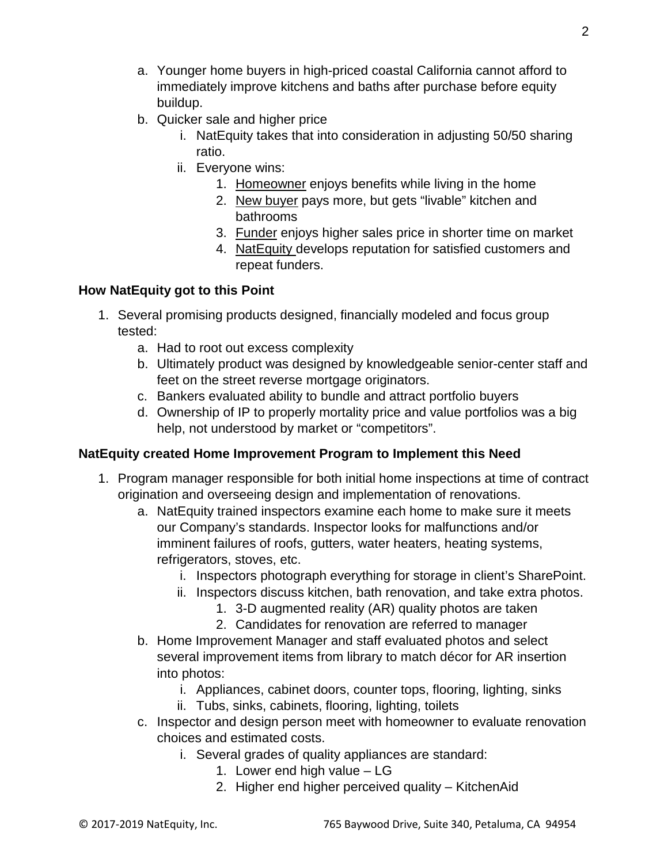- a. Younger home buyers in high-priced coastal California cannot afford to immediately improve kitchens and baths after purchase before equity buildup.
- b. Quicker sale and higher price
	- i. NatEquity takes that into consideration in adjusting 50/50 sharing ratio.
	- ii. Everyone wins:
		- 1. Homeowner enjoys benefits while living in the home
		- 2. New buyer pays more, but gets "livable" kitchen and bathrooms
		- 3. Funder enjoys higher sales price in shorter time on market
		- 4. NatEquity develops reputation for satisfied customers and repeat funders.

## **How NatEquity got to this Point**

- 1. Several promising products designed, financially modeled and focus group tested:
	- a. Had to root out excess complexity
	- b. Ultimately product was designed by knowledgeable senior-center staff and feet on the street reverse mortgage originators.
	- c. Bankers evaluated ability to bundle and attract portfolio buyers
	- d. Ownership of IP to properly mortality price and value portfolios was a big help, not understood by market or "competitors".

## **NatEquity created Home Improvement Program to Implement this Need**

- 1. Program manager responsible for both initial home inspections at time of contract origination and overseeing design and implementation of renovations.
	- a. NatEquity trained inspectors examine each home to make sure it meets our Company's standards. Inspector looks for malfunctions and/or imminent failures of roofs, gutters, water heaters, heating systems, refrigerators, stoves, etc.
		- i. Inspectors photograph everything for storage in client's SharePoint.
		- ii. Inspectors discuss kitchen, bath renovation, and take extra photos.
			- 1. 3-D augmented reality (AR) quality photos are taken
			- 2. Candidates for renovation are referred to manager
	- b. Home Improvement Manager and staff evaluated photos and select several improvement items from library to match décor for AR insertion into photos:
		- i. Appliances, cabinet doors, counter tops, flooring, lighting, sinks
		- ii. Tubs, sinks, cabinets, flooring, lighting, toilets
	- c. Inspector and design person meet with homeowner to evaluate renovation choices and estimated costs.
		- i. Several grades of quality appliances are standard:
			- 1. Lower end high value LG
			- 2. Higher end higher perceived quality KitchenAid